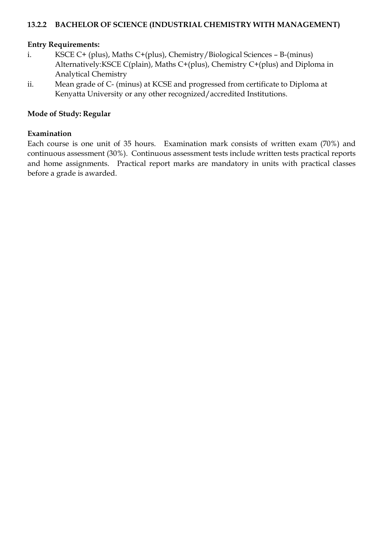## **13.2.2 BACHELOR OF SCIENCE (INDUSTRIAL CHEMISTRY WITH MANAGEMENT)**

### **Entry Requirements:**

- i. KSCE C+ (plus), Maths C+(plus), Chemistry/Biological Sciences B-(minus) Alternatively:KSCE C(plain), Maths C+(plus), Chemistry C+(plus) and Diploma in Analytical Chemistry
- ii. Mean grade of C- (minus) at KCSE and progressed from certificate to Diploma at Kenyatta University or any other recognized/accredited Institutions.

## **Mode of Study: Regular**

#### **Examination**

Each course is one unit of 35 hours. Examination mark consists of written exam (70%) and continuous assessment (30%). Continuous assessment tests include written tests practical reports and home assignments. Practical report marks are mandatory in units with practical classes before a grade is awarded.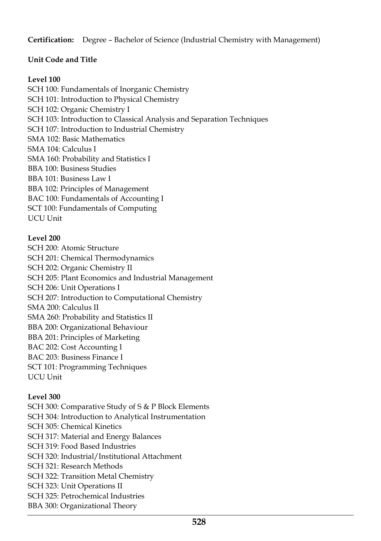**Certification:** Degree – Bachelor of Science (Industrial Chemistry with Management)

# **Unit Code and Title**

## **Level 100**

SCH 100: Fundamentals of Inorganic Chemistry SCH 101: Introduction to Physical Chemistry SCH 102: Organic Chemistry I SCH 103: Introduction to Classical Analysis and Separation Techniques SCH 107: Introduction to Industrial Chemistry SMA 102: Basic Mathematics SMA 104: Calculus I SMA 160: Probability and Statistics I BBA 100: Business Studies BBA 101: Business Law I BBA 102: Principles of Management BAC 100: Fundamentals of Accounting I SCT 100: Fundamentals of Computing UCU Unit

**Level 200**

SCH 200: Atomic Structure SCH 201: Chemical Thermodynamics SCH 202: Organic Chemistry II SCH 205: Plant Economics and Industrial Management SCH 206: Unit Operations I SCH 207: Introduction to Computational Chemistry SMA 200: Calculus II SMA 260: Probability and Statistics II BBA 200: Organizational Behaviour BBA 201: Principles of Marketing BAC 202: Cost Accounting I BAC 203: Business Finance I SCT 101: Programming Techniques UCU Unit

## **Level 300**

SCH 300: Comparative Study of S & P Block Elements SCH 304: Introduction to Analytical Instrumentation SCH 305: Chemical Kinetics SCH 317: Material and Energy Balances SCH 319: Food Based Industries SCH 320: Industrial/Institutional Attachment SCH 321: Research Methods SCH 322: Transition Metal Chemistry SCH 323: Unit Operations II SCH 325: Petrochemical Industries BBA 300: Organizational Theory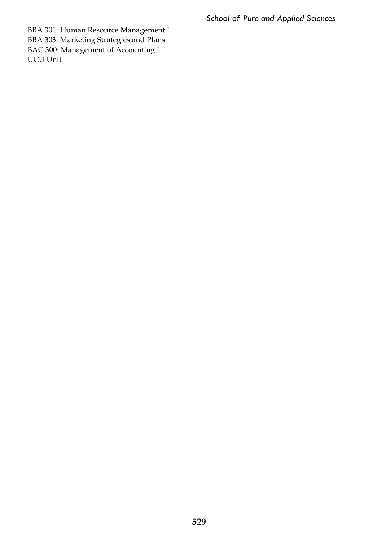*School of Pure and Applied Sciences*

BBA 301: Human Resource Management I BBA 303: Marketing Strategies and Plans BAC 300: Management of Accounting I UCU Unit